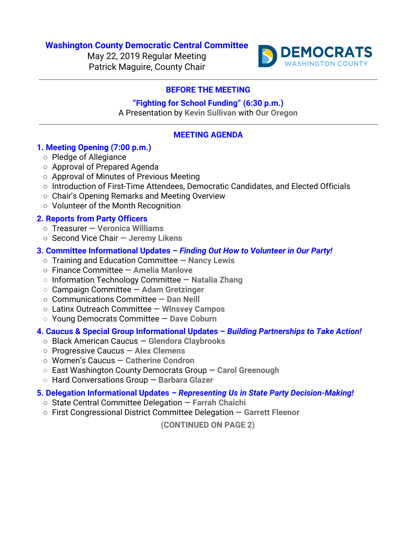### **Washington County Democratic Central Committee**

May 22, 2019 Regular Meeting Patrick Maguire, County Chair



# **BEFORE THE MEETING**

# **"Fighting for School Funding" (6:30 p.m.)**

A Presentation by **Kevin Sullivan** with **Our Oregon**

# **MEETING AGENDA**

#### **1. Meeting Opening (7:00 p.m.)**

- Pledge of Allegiance
- Approval of Prepared Agenda
- Approval of Minutes of Previous Meeting
- Introduction of First-Time Attendees, Democratic Candidates, and Elected Officials
- Chair's Opening Remarks and Meeting Overview
- Volunteer of the Month Recognition

### **2. Reports from Party Officers**

- Treasurer — **Veronica Williams**
- Second Vice Chair — **Jeremy Likens**

#### **3. Committee Informational Updates –** *Finding Out How to Volunteer in Our Party!*

- Training and Education Committee — **Nancy Lewis**
- Finance Committee — **Amelia Manlove**
- **○** Information Technology Committee — **Natalia Zhang**
- **○** Campaign Committee **Adam Gretzinger**
- Communications Committee — **Dan Neill**
- Latinx Outreach Committee **Wlnsvey Campos**
- **○** Young Democrats Committee — **Dave Coburn**

#### **4. Caucus & Special Group Informational Updates –** *Building Partnerships to Take Action!*

- Black American Caucus **Glendora Claybrooks**
- Progressive Caucus **Alex Clemens**
- Women's Caucus — **Catherine Condron**
- **○** East Washington County Democrats Group — **Carol Greenough**
- **○** Hard Conversations Group — **Barbara Glazer**

### **5. Delegation Informational Updates –** *Representing Us in State Party Decision-Making!*

- State Central Committee Delegation — **Farrah Chaichi**
- First Congressional District Committee Delegation — **Garrett Fleenor**

**(CONTINUED ON PAGE 2)**